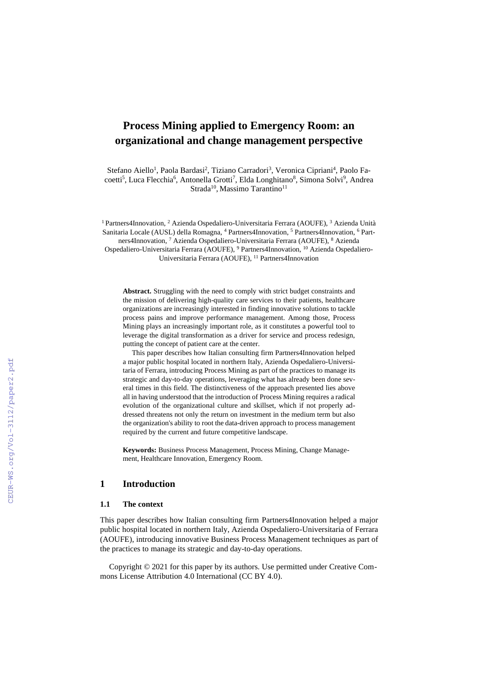# **Process Mining applied to Emergency Room: an organizational and change management perspective**

Stefano Aiello<sup>1</sup>, Paola Bardasi<sup>2</sup>, Tiziano Carradori<sup>3</sup>, Veronica Cipriani<sup>4</sup>, Paolo Facoetti<sup>5</sup>, Luca Flecchia<sup>6</sup>, Antonella Grotti<sup>7</sup>, Elda Longhitano<sup>8</sup>, Simona Solvi<sup>9</sup>, Andrea Strada<sup>10</sup>, Massimo Tarantino<sup>11</sup>

<sup>1</sup> Partners4Innovation, <sup>2</sup> Azienda Ospedaliero-Universitaria Ferrara (AOUFE), <sup>3</sup> Azienda Unità Sanitaria Locale (AUSL) della Romagna, <sup>4</sup> Partners4Innovation, <sup>5</sup> Partners4Innovation, <sup>6</sup> Partners4Innovation, <sup>7</sup> Azienda Ospedaliero-Universitaria Ferrara (AOUFE), <sup>8</sup> Azienda Ospedaliero-Universitaria Ferrara (AOUFE), <sup>9</sup> Partners4Innovation, <sup>10</sup> Azienda Ospedaliero-Universitaria Ferrara (AOUFE), <sup>11</sup> Partners4Innovation

**Abstract.** Struggling with the need to comply with strict budget constraints and the mission of delivering high-quality care services to their patients, healthcare organizations are increasingly interested in finding innovative solutions to tackle process pains and improve performance management. Among those, Process Mining plays an increasingly important role, as it constitutes a powerful tool to leverage the digital transformation as a driver for service and process redesign, putting the concept of patient care at the center.

This paper describes how Italian consulting firm Partners4Innovation helped a major public hospital located in northern Italy, Azienda Ospedaliero-Universitaria of Ferrara, introducing Process Mining as part of the practices to manage its strategic and day-to-day operations, leveraging what has already been done several times in this field. The distinctiveness of the approach presented lies above all in having understood that the introduction of Process Mining requires a radical evolution of the organizational culture and skillset, which if not properly addressed threatens not only the return on investment in the medium term but also the organization's ability to root the data-driven approach to process management required by the current and future competitive landscape.

**Keywords:** Business Process Management, Process Mining, Change Management, Healthcare Innovation, Emergency Room.

### **1 Introduction**

### **1.1 The context**

This paper describes how Italian consulting firm Partners4Innovation helped a major public hospital located in northern Italy, Azienda Ospedaliero-Universitaria of Ferrara (AOUFE), introducing innovative Business Process Management techniques as part of the practices to manage its strategic and day-to-day operations.

Copyright © 2021 for this paper by its authors. Use permitted under Creative Commons License Attribution 4.0 International (CC BY 4.0).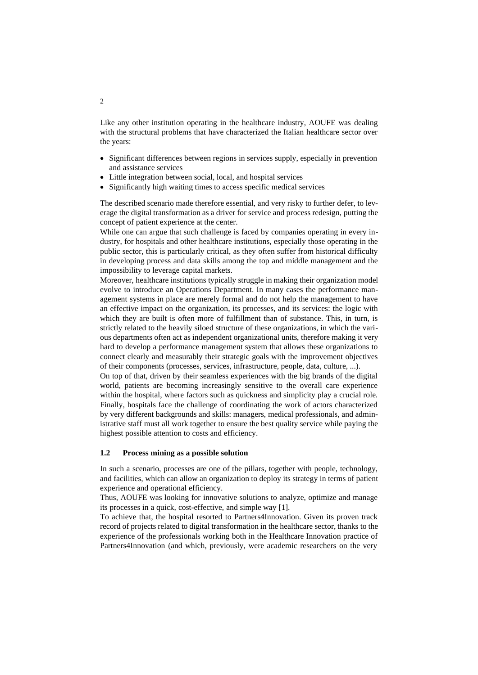Like any other institution operating in the healthcare industry, AOUFE was dealing with the structural problems that have characterized the Italian healthcare sector over the years:

- Significant differences between regions in services supply, especially in prevention and assistance services
- Little integration between social, local, and hospital services
- Significantly high waiting times to access specific medical services

The described scenario made therefore essential, and very risky to further defer, to leverage the digital transformation as a driver for service and process redesign, putting the concept of patient experience at the center.

While one can argue that such challenge is faced by companies operating in every industry, for hospitals and other healthcare institutions, especially those operating in the public sector, this is particularly critical, as they often suffer from historical difficulty in developing process and data skills among the top and middle management and the impossibility to leverage capital markets.

Moreover, healthcare institutions typically struggle in making their organization model evolve to introduce an Operations Department. In many cases the performance management systems in place are merely formal and do not help the management to have an effective impact on the organization, its processes, and its services: the logic with which they are built is often more of fulfillment than of substance. This, in turn, is strictly related to the heavily siloed structure of these organizations, in which the various departments often act as independent organizational units, therefore making it very hard to develop a performance management system that allows these organizations to connect clearly and measurably their strategic goals with the improvement objectives of their components (processes, services, infrastructure, people, data, culture, ...).

On top of that, driven by their seamless experiences with the big brands of the digital world, patients are becoming increasingly sensitive to the overall care experience within the hospital, where factors such as quickness and simplicity play a crucial role. Finally, hospitals face the challenge of coordinating the work of actors characterized by very different backgrounds and skills: managers, medical professionals, and administrative staff must all work together to ensure the best quality service while paying the highest possible attention to costs and efficiency.

### **1.2 Process mining as a possible solution**

In such a scenario, processes are one of the pillars, together with people, technology, and facilities, which can allow an organization to deploy its strategy in terms of patient experience and operational efficiency.

Thus, AOUFE was looking for innovative solutions to analyze, optimize and manage its processes in a quick, cost-effective, and simple way [1].

To achieve that, the hospital resorted to Partners4Innovation. Given its proven track record of projects related to digital transformation in the healthcare sector, thanks to the experience of the professionals working both in the Healthcare Innovation practice of Partners4Innovation (and which, previously, were academic researchers on the very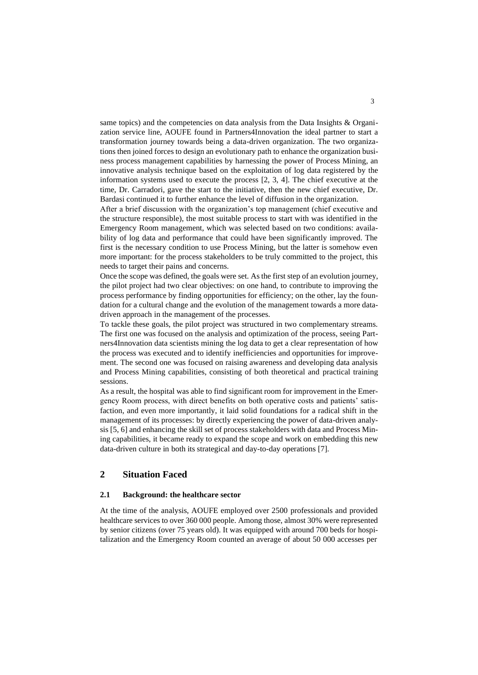same topics) and the competencies on data analysis from the Data Insights & Organization service line, AOUFE found in Partners4Innovation the ideal partner to start a transformation journey towards being a data-driven organization. The two organizations then joined forces to design an evolutionary path to enhance the organization business process management capabilities by harnessing the power of Process Mining, an innovative analysis technique based on the exploitation of log data registered by the information systems used to execute the process [2, 3, 4]. The chief executive at the time, Dr. Carradori, gave the start to the initiative, then the new chief executive, Dr. Bardasi continued it to further enhance the level of diffusion in the organization.

After a brief discussion with the organization's top management (chief executive and the structure responsible), the most suitable process to start with was identified in the Emergency Room management, which was selected based on two conditions: availability of log data and performance that could have been significantly improved. The first is the necessary condition to use Process Mining, but the latter is somehow even more important: for the process stakeholders to be truly committed to the project, this needs to target their pains and concerns.

Once the scope was defined, the goals were set. Asthe first step of an evolution journey, the pilot project had two clear objectives: on one hand, to contribute to improving the process performance by finding opportunities for efficiency; on the other, lay the foundation for a cultural change and the evolution of the management towards a more datadriven approach in the management of the processes.

To tackle these goals, the pilot project was structured in two complementary streams. The first one was focused on the analysis and optimization of the process, seeing Partners4Innovation data scientists mining the log data to get a clear representation of how the process was executed and to identify inefficiencies and opportunities for improvement. The second one was focused on raising awareness and developing data analysis and Process Mining capabilities, consisting of both theoretical and practical training sessions.

As a result, the hospital was able to find significant room for improvement in the Emergency Room process, with direct benefits on both operative costs and patients' satisfaction, and even more importantly, it laid solid foundations for a radical shift in the management of its processes: by directly experiencing the power of data-driven analysis [5, 6] and enhancing the skill set of process stakeholders with data and Process Mining capabilities, it became ready to expand the scope and work on embedding this new data-driven culture in both its strategical and day-to-day operations [7].

# **2 Situation Faced**

### **2.1 Background: the healthcare sector**

At the time of the analysis, AOUFE employed over 2500 professionals and provided healthcare services to over 360 000 people. Among those, almost 30% were represented by senior citizens (over 75 years old). It was equipped with around 700 beds for hospitalization and the Emergency Room counted an average of about 50 000 accesses per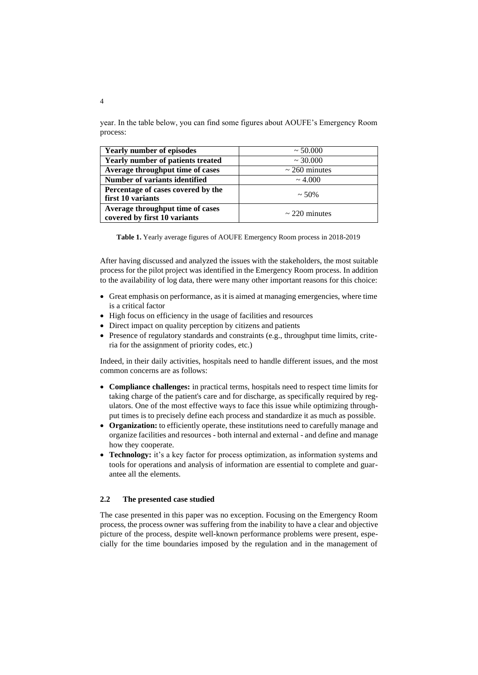year. In the table below, you can find some figures about AOUFE's Emergency Room process:

| <b>Yearly number of episodes</b>                                 | $\sim 50.000$      |
|------------------------------------------------------------------|--------------------|
| Yearly number of patients treated                                | $\sim$ 30.000      |
| Average throughput time of cases                                 | $\sim$ 260 minutes |
| Number of variants identified                                    | $\sim 4.000$       |
| Percentage of cases covered by the<br>first 10 variants          | $\sim$ 50%         |
| Average throughput time of cases<br>covered by first 10 variants | $\sim$ 220 minutes |

**Table 1.** Yearly average figures of AOUFE Emergency Room process in 2018-2019

After having discussed and analyzed the issues with the stakeholders, the most suitable process for the pilot project was identified in the Emergency Room process. In addition to the availability of log data, there were many other important reasons for this choice:

- Great emphasis on performance, as it is aimed at managing emergencies, where time is a critical factor
- High focus on efficiency in the usage of facilities and resources
- Direct impact on quality perception by citizens and patients
- Presence of regulatory standards and constraints (e.g., throughput time limits, criteria for the assignment of priority codes, etc.)

Indeed, in their daily activities, hospitals need to handle different issues, and the most common concerns are as follows:

- **Compliance challenges:** in practical terms, hospitals need to respect time limits for taking charge of the patient's care and for discharge, as specifically required by regulators. One of the most effective ways to face this issue while optimizing throughput times is to precisely define each process and standardize it as much as possible.
- **Organization:** to efficiently operate, these institutions need to carefully manage and organize facilities and resources - both internal and external - and define and manage how they cooperate.
- **Technology:** it's a key factor for process optimization, as information systems and tools for operations and analysis of information are essential to complete and guarantee all the elements.

#### **2.2 The presented case studied**

The case presented in this paper was no exception. Focusing on the Emergency Room process, the process owner was suffering from the inability to have a clear and objective picture of the process, despite well-known performance problems were present, especially for the time boundaries imposed by the regulation and in the management of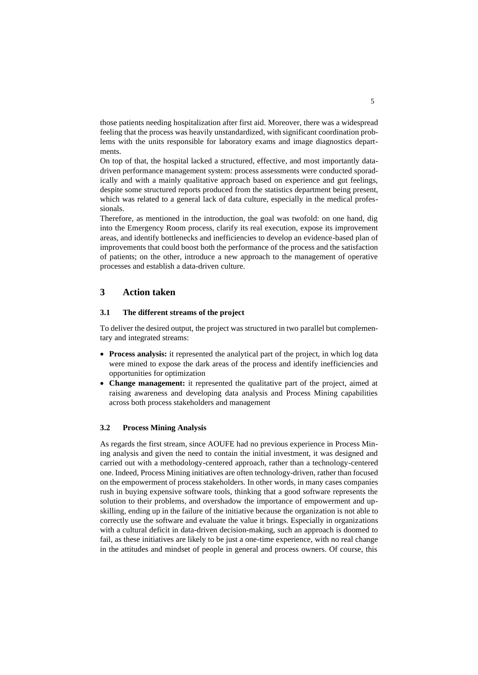those patients needing hospitalization after first aid. Moreover, there was a widespread feeling that the process was heavily unstandardized, with significant coordination problems with the units responsible for laboratory exams and image diagnostics departments.

On top of that, the hospital lacked a structured, effective, and most importantly datadriven performance management system: process assessments were conducted sporadically and with a mainly qualitative approach based on experience and gut feelings, despite some structured reports produced from the statistics department being present, which was related to a general lack of data culture, especially in the medical professionals.

Therefore, as mentioned in the introduction, the goal was twofold: on one hand, dig into the Emergency Room process, clarify its real execution, expose its improvement areas, and identify bottlenecks and inefficiencies to develop an evidence-based plan of improvements that could boost both the performance of the process and the satisfaction of patients; on the other, introduce a new approach to the management of operative processes and establish a data-driven culture.

### **3 Action taken**

#### **3.1 The different streams of the project**

To deliver the desired output, the project was structured in two parallel but complementary and integrated streams:

- **Process analysis:** it represented the analytical part of the project, in which log data were mined to expose the dark areas of the process and identify inefficiencies and opportunities for optimization
- **Change management:** it represented the qualitative part of the project, aimed at raising awareness and developing data analysis and Process Mining capabilities across both process stakeholders and management

### **3.2 Process Mining Analysis**

As regards the first stream, since AOUFE had no previous experience in Process Mining analysis and given the need to contain the initial investment, it was designed and carried out with a methodology-centered approach, rather than a technology-centered one. Indeed, Process Mining initiatives are often technology-driven, rather than focused on the empowerment of process stakeholders. In other words, in many cases companies rush in buying expensive software tools, thinking that a good software represents the solution to their problems, and overshadow the importance of empowerment and upskilling, ending up in the failure of the initiative because the organization is not able to correctly use the software and evaluate the value it brings. Especially in organizations with a cultural deficit in data-driven decision-making, such an approach is doomed to fail, as these initiatives are likely to be just a one-time experience, with no real change in the attitudes and mindset of people in general and process owners. Of course, this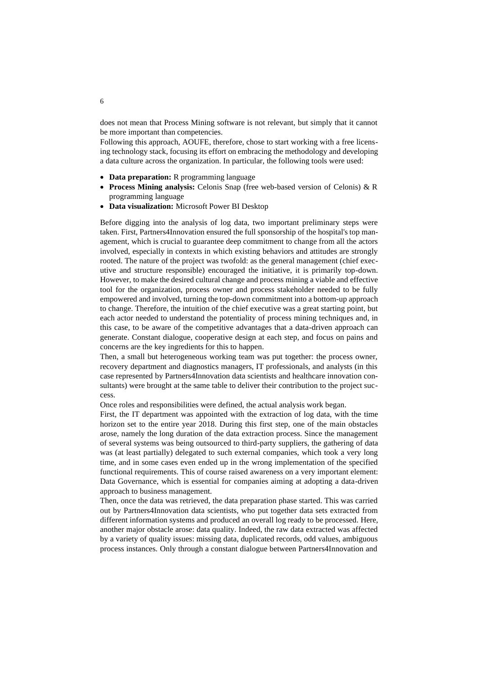does not mean that Process Mining software is not relevant, but simply that it cannot be more important than competencies.

Following this approach, AOUFE, therefore, chose to start working with a free licensing technology stack, focusing its effort on embracing the methodology and developing a data culture across the organization. In particular, the following tools were used:

- **Data preparation:** R programming language
- **Process Mining analysis:** Celonis Snap (free web-based version of Celonis) & R programming language
- **Data visualization:** Microsoft Power BI Desktop

Before digging into the analysis of log data, two important preliminary steps were taken. First, Partners4Innovation ensured the full sponsorship of the hospital's top management, which is crucial to guarantee deep commitment to change from all the actors involved, especially in contexts in which existing behaviors and attitudes are strongly rooted. The nature of the project was twofold: as the general management (chief executive and structure responsible) encouraged the initiative, it is primarily top-down. However, to make the desired cultural change and process mining a viable and effective tool for the organization, process owner and process stakeholder needed to be fully empowered and involved, turning the top-down commitment into a bottom-up approach to change. Therefore, the intuition of the chief executive was a great starting point, but each actor needed to understand the potentiality of process mining techniques and, in this case, to be aware of the competitive advantages that a data-driven approach can generate. Constant dialogue, cooperative design at each step, and focus on pains and concerns are the key ingredients for this to happen.

Then, a small but heterogeneous working team was put together: the process owner, recovery department and diagnostics managers, IT professionals, and analysts (in this case represented by Partners4Innovation data scientists and healthcare innovation consultants) were brought at the same table to deliver their contribution to the project success.

Once roles and responsibilities were defined, the actual analysis work began.

First, the IT department was appointed with the extraction of log data, with the time horizon set to the entire year 2018. During this first step, one of the main obstacles arose, namely the long duration of the data extraction process. Since the management of several systems was being outsourced to third-party suppliers, the gathering of data was (at least partially) delegated to such external companies, which took a very long time, and in some cases even ended up in the wrong implementation of the specified functional requirements. This of course raised awareness on a very important element: Data Governance, which is essential for companies aiming at adopting a data-driven approach to business management.

Then, once the data was retrieved, the data preparation phase started. This was carried out by Partners4Innovation data scientists, who put together data sets extracted from different information systems and produced an overall log ready to be processed. Here, another major obstacle arose: data quality. Indeed, the raw data extracted was affected by a variety of quality issues: missing data, duplicated records, odd values, ambiguous process instances. Only through a constant dialogue between Partners4Innovation and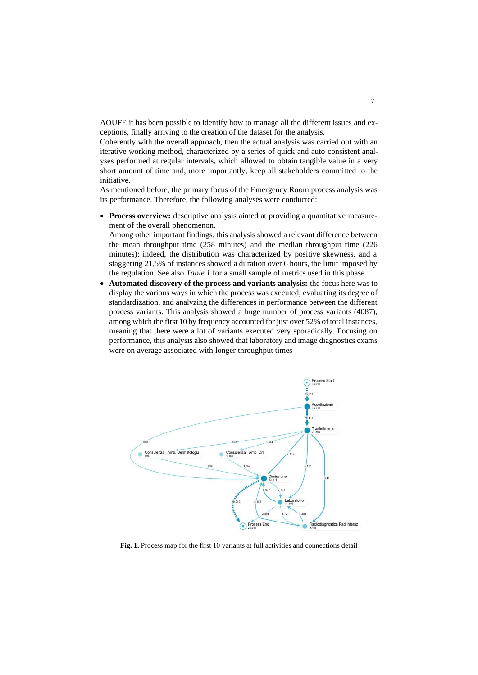AOUFE it has been possible to identify how to manage all the different issues and exceptions, finally arriving to the creation of the dataset for the analysis.

Coherently with the overall approach, then the actual analysis was carried out with an iterative working method, characterized by a series of quick and auto consistent analyses performed at regular intervals, which allowed to obtain tangible value in a very short amount of time and, more importantly, keep all stakeholders committed to the initiative.

As mentioned before, the primary focus of the Emergency Room process analysis was its performance. Therefore, the following analyses were conducted:

• **Process overview:** descriptive analysis aimed at providing a quantitative measurement of the overall phenomenon.

Among other important findings, this analysis showed a relevant difference between the mean throughput time (258 minutes) and the median throughput time (226 minutes): indeed, the distribution was characterized by positive skewness, and a staggering 21,5% of instances showed a duration over 6 hours, the limit imposed by the regulation. See also *Table 1* for a small sample of metrics used in this phase

• **Automated discovery of the process and variants analysis:** the focus here was to display the various ways in which the process was executed, evaluating its degree of standardization, and analyzing the differences in performance between the different process variants. This analysis showed a huge number of process variants (4087), among which the first 10 by frequency accounted for just over 52% of total instances, meaning that there were a lot of variants executed very sporadically. Focusing on performance, this analysis also showed that laboratory and image diagnostics exams were on average associated with longer throughput times



**Fig. 1.** Process map for the first 10 variants at full activities and connections detail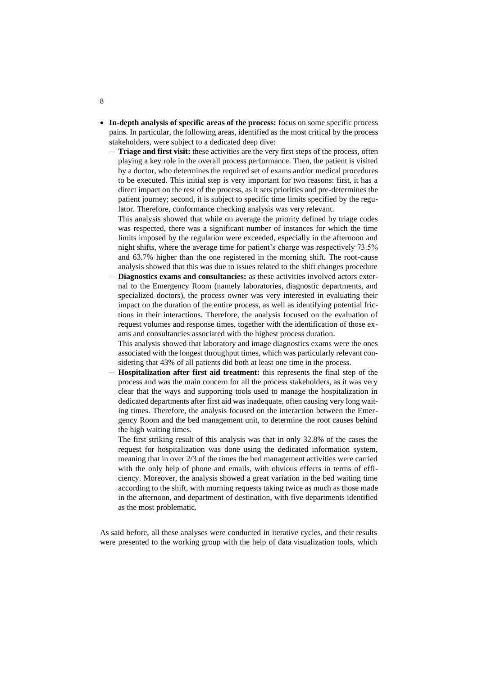- **In-depth analysis of specific areas of the process:** focus on some specific process pains. In particular, the following areas, identified as the most critical by the process stakeholders, were subject to a dedicated deep dive:
	- **Triage and first visit:** these activities are the very first steps of the process, often playing a key role in the overall process performance. Then, the patient is visited by a doctor, who determines the required set of exams and/or medical procedures to be executed. This initial step is very important for two reasons: first, it has a direct impact on the rest of the process, as it sets priorities and pre-determines the patient journey; second, it is subject to specific time limits specified by the regulator. Therefore, conformance checking analysis was very relevant.

This analysis showed that while on average the priority defined by triage codes was respected, there was a significant number of instances for which the time limits imposed by the regulation were exceeded, especially in the afternoon and night shifts, where the average time for patient's charge was respectively 73.5% and 63.7% higher than the one registered in the morning shift. The root-cause analysis showed that this was due to issues related to the shift changes procedure

— **Diagnostics exams and consultancies:** as these activities involved actors external to the Emergency Room (namely laboratories, diagnostic departments, and specialized doctors), the process owner was very interested in evaluating their impact on the duration of the entire process, as well as identifying potential frictions in their interactions. Therefore, the analysis focused on the evaluation of request volumes and response times, together with the identification of those exams and consultancies associated with the highest process duration.

This analysis showed that laboratory and image diagnostics exams were the ones associated with the longest throughput times, which was particularly relevant considering that 43% of all patients did both at least one time in the process.

— **Hospitalization after first aid treatment:** this represents the final step of the process and was the main concern for all the process stakeholders, as it was very clear that the ways and supporting tools used to manage the hospitalization in dedicated departments after first aid was inadequate, often causing very long waiting times. Therefore, the analysis focused on the interaction between the Emergency Room and the bed management unit, to determine the root causes behind the high waiting times.

The first striking result of this analysis was that in only 32.8% of the cases the request for hospitalization was done using the dedicated information system, meaning that in over 2/3 of the times the bed management activities were carried with the only help of phone and emails, with obvious effects in terms of efficiency. Moreover, the analysis showed a great variation in the bed waiting time according to the shift, with morning requests taking twice as much as those made in the afternoon, and department of destination, with five departments identified as the most problematic.

As said before, all these analyses were conducted in iterative cycles, and their results were presented to the working group with the help of data visualization tools, which

8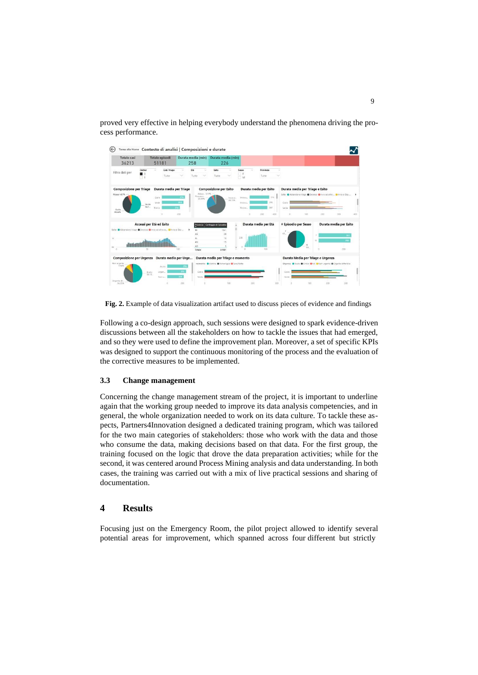proved very effective in helping everybody understand the phenomena driving the process performance.



**Fig. 2.** Example of data visualization artifact used to discuss pieces of evidence and findings

Following a co-design approach, such sessions were designed to spark evidence-driven discussions between all the stakeholders on how to tackle the issues that had emerged, and so they were used to define the improvement plan. Moreover, a set of specific KPIs was designed to support the continuous monitoring of the process and the evaluation of the corrective measures to be implemented.

### **3.3 Change management**

Concerning the change management stream of the project, it is important to underline again that the working group needed to improve its data analysis competencies, and in general, the whole organization needed to work on its data culture. To tackle these aspects, Partners4Innovation designed a dedicated training program, which was tailored for the two main categories of stakeholders: those who work with the data and those who consume the data, making decisions based on that data. For the first group, the training focused on the logic that drove the data preparation activities; while for the second, it was centered around Process Mining analysis and data understanding. In both cases, the training was carried out with a mix of live practical sessions and sharing of documentation.

### **4 Results**

Focusing just on the Emergency Room, the pilot project allowed to identify several potential areas for improvement, which spanned across four different but strictly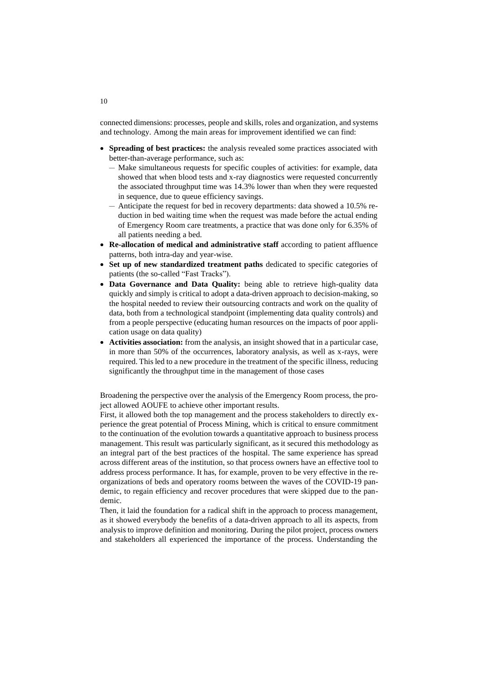connected dimensions: processes, people and skills, roles and organization, and systems and technology. Among the main areas for improvement identified we can find:

- **Spreading of best practices:** the analysis revealed some practices associated with better-than-average performance, such as:
	- Make simultaneous requests for specific couples of activities: for example, data showed that when blood tests and x-ray diagnostics were requested concurrently the associated throughput time was 14.3% lower than when they were requested in sequence, due to queue efficiency savings.
	- Anticipate the request for bed in recovery departments: data showed a 10.5% reduction in bed waiting time when the request was made before the actual ending of Emergency Room care treatments, a practice that was done only for 6.35% of all patients needing a bed.
- **Re-allocation of medical and administrative staff** according to patient affluence patterns, both intra-day and year-wise.
- **Set up of new standardized treatment paths** dedicated to specific categories of patients (the so-called "Fast Tracks").
- **Data Governance and Data Quality:** being able to retrieve high-quality data quickly and simply is critical to adopt a data-driven approach to decision-making, so the hospital needed to review their outsourcing contracts and work on the quality of data, both from a technological standpoint (implementing data quality controls) and from a people perspective (educating human resources on the impacts of poor application usage on data quality)
- **Activities association:** from the analysis, an insight showed that in a particular case, in more than 50% of the occurrences, laboratory analysis, as well as x-rays, were required. This led to a new procedure in the treatment of the specific illness, reducing significantly the throughput time in the management of those cases

Broadening the perspective over the analysis of the Emergency Room process, the project allowed AOUFE to achieve other important results.

First, it allowed both the top management and the process stakeholders to directly experience the great potential of Process Mining, which is critical to ensure commitment to the continuation of the evolution towards a quantitative approach to business process management. This result was particularly significant, as it secured this methodology as an integral part of the best practices of the hospital. The same experience has spread across different areas of the institution, so that process owners have an effective tool to address process performance. It has, for example, proven to be very effective in the reorganizations of beds and operatory rooms between the waves of the COVID-19 pandemic, to regain efficiency and recover procedures that were skipped due to the pandemic.

Then, it laid the foundation for a radical shift in the approach to process management, as it showed everybody the benefits of a data-driven approach to all its aspects, from analysis to improve definition and monitoring. During the pilot project, process owners and stakeholders all experienced the importance of the process. Understanding the

10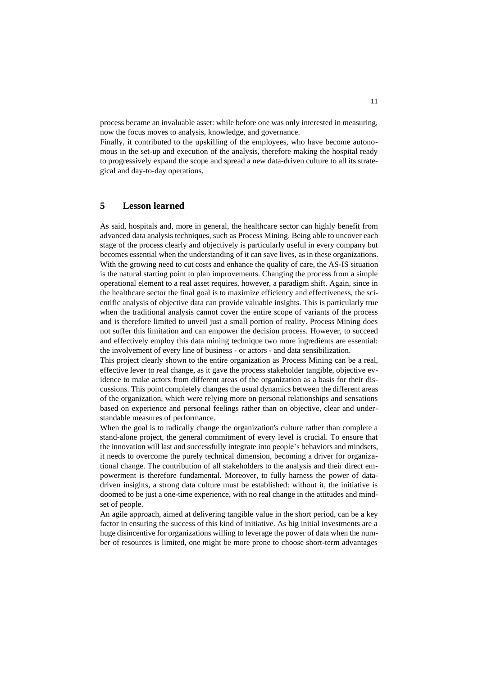process became an invaluable asset: while before one was only interested in measuring, now the focus moves to analysis, knowledge, and governance.

Finally, it contributed to the upskilling of the employees, who have become autonomous in the set-up and execution of the analysis, therefore making the hospital ready to progressively expand the scope and spread a new data-driven culture to all its strategical and day-to-day operations.

## **5 Lesson learned**

As said, hospitals and, more in general, the healthcare sector can highly benefit from advanced data analysis techniques, such as Process Mining. Being able to uncover each stage of the process clearly and objectively is particularly useful in every company but becomes essential when the understanding of it can save lives, as in these organizations. With the growing need to cut costs and enhance the quality of care, the AS-IS situation is the natural starting point to plan improvements. Changing the process from a simple operational element to a real asset requires, however, a paradigm shift. Again, since in the healthcare sector the final goal is to maximize efficiency and effectiveness, the scientific analysis of objective data can provide valuable insights. This is particularly true when the traditional analysis cannot cover the entire scope of variants of the process and is therefore limited to unveil just a small portion of reality. Process Mining does not suffer this limitation and can empower the decision process. However, to succeed and effectively employ this data mining technique two more ingredients are essential: the involvement of every line of business - or actors - and data sensibilization.

This project clearly shown to the entire organization as Process Mining can be a real, effective lever to real change, as it gave the process stakeholder tangible, objective evidence to make actors from different areas of the organization as a basis for their discussions. This point completely changes the usual dynamics between the different areas of the organization, which were relying more on personal relationships and sensations based on experience and personal feelings rather than on objective, clear and understandable measures of performance.

When the goal is to radically change the organization's culture rather than complete a stand-alone project, the general commitment of every level is crucial. To ensure that the innovation will last and successfully integrate into people's behaviors and mindsets, it needs to overcome the purely technical dimension, becoming a driver for organizational change. The contribution of all stakeholders to the analysis and their direct empowerment is therefore fundamental. Moreover, to fully harness the power of datadriven insights, a strong data culture must be established: without it, the initiative is doomed to be just a one-time experience, with no real change in the attitudes and mindset of people.

An agile approach, aimed at delivering tangible value in the short period, can be a key factor in ensuring the success of this kind of initiative. As big initial investments are a huge disincentive for organizations willing to leverage the power of data when the number of resources is limited, one might be more prone to choose short-term advantages